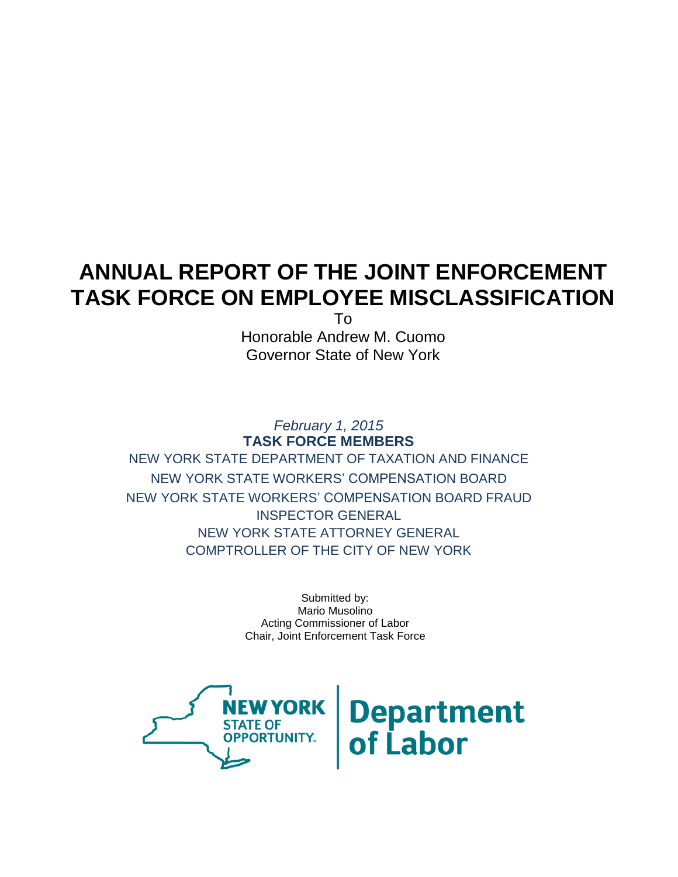# **ANNUAL REPORT OF THE JOINT ENFORCEMENT TASK FORCE ON EMPLOYEE MISCLASSIFICATION**

To

Honorable Andrew M. Cuomo Governor State of New York

*February 1, 2015* **TASK FORCE MEMBERS** NEW YORK STATE DEPARTMENT OF TAXATION AND FINANCE NEW YORK STATE WORKERS' COMPENSATION BOARD NEW YORK STATE WORKERS' COMPENSATION BOARD FRAUD INSPECTOR GENERAL NEW YORK STATE ATTORNEY GENERAL COMPTROLLER OF THE CITY OF NEW YORK

> Submitted by: Mario Musolino Acting Commissioner of Labor Chair, Joint Enforcement Task Force



**Department**<br>of Labor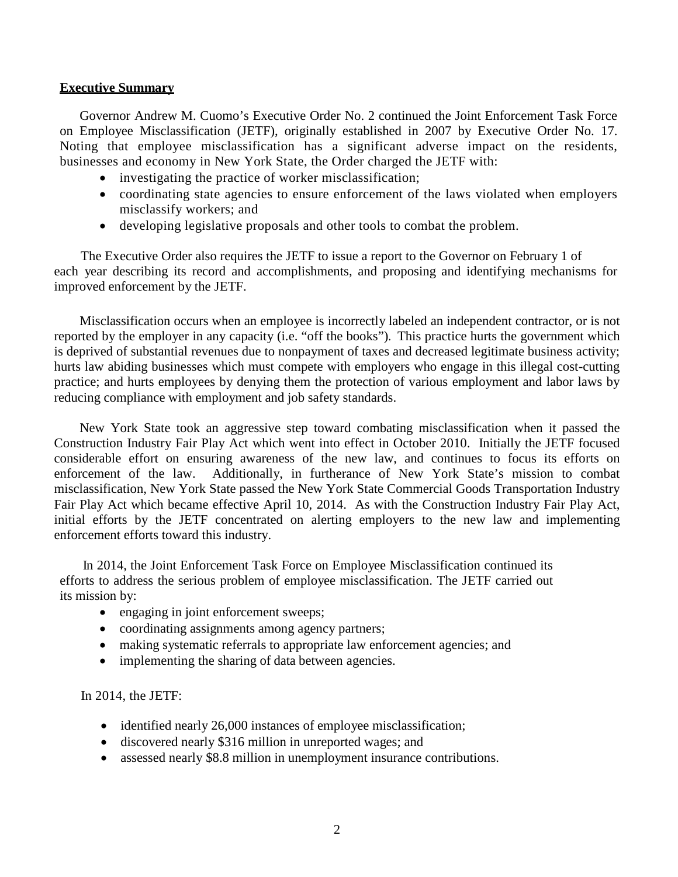## **Executive Summary**

Governor Andrew M. Cuomo's Executive Order No. 2 continued the Joint Enforcement Task Force on Employee Misclassification (JETF), originally established in 2007 by Executive Order No. 17. Noting that employee misclassification has a significant adverse impact on the residents, businesses and economy in New York State, the Order charged the JETF with:

- investigating the practice of worker misclassification;
- coordinating state agencies to ensure enforcement of the laws violated when employers misclassify workers; and
- developing legislative proposals and other tools to combat the problem.

 The Executive Order also requires the JETF to issue a report to the Governor on February 1 of each year describing its record and accomplishments, and proposing and identifying mechanisms for improved enforcement by the JETF.

Misclassification occurs when an employee is incorrectly labeled an independent contractor, or is not reported by the employer in any capacity (i.e. "off the books"). This practice hurts the government which is deprived of substantial revenues due to nonpayment of taxes and decreased legitimate business activity; hurts law abiding businesses which must compete with employers who engage in this illegal cost-cutting practice; and hurts employees by denying them the protection of various employment and labor laws by reducing compliance with employment and job safety standards.

New York State took an aggressive step toward combating misclassification when it passed the Construction Industry Fair Play Act which went into effect in October 2010. Initially the JETF focused considerable effort on ensuring awareness of the new law, and continues to focus its efforts on enforcement of the law. Additionally, in furtherance of New York State's mission to combat misclassification, New York State passed the New York State Commercial Goods Transportation Industry Fair Play Act which became effective April 10, 2014. As with the Construction Industry Fair Play Act, initial efforts by the JETF concentrated on alerting employers to the new law and implementing enforcement efforts toward this industry.

In 2014, the Joint Enforcement Task Force on Employee Misclassification continued its efforts to address the serious problem of employee misclassification. The JETF carried out its mission by:

- engaging in joint enforcement sweeps;
- coordinating assignments among agency partners;
- making systematic referrals to appropriate law enforcement agencies; and
- implementing the sharing of data between agencies.

In 2014, the JETF:

- identified nearly 26,000 instances of employee misclassification;
- discovered nearly \$316 million in unreported wages; and
- assessed nearly \$8.8 million in unemployment insurance contributions.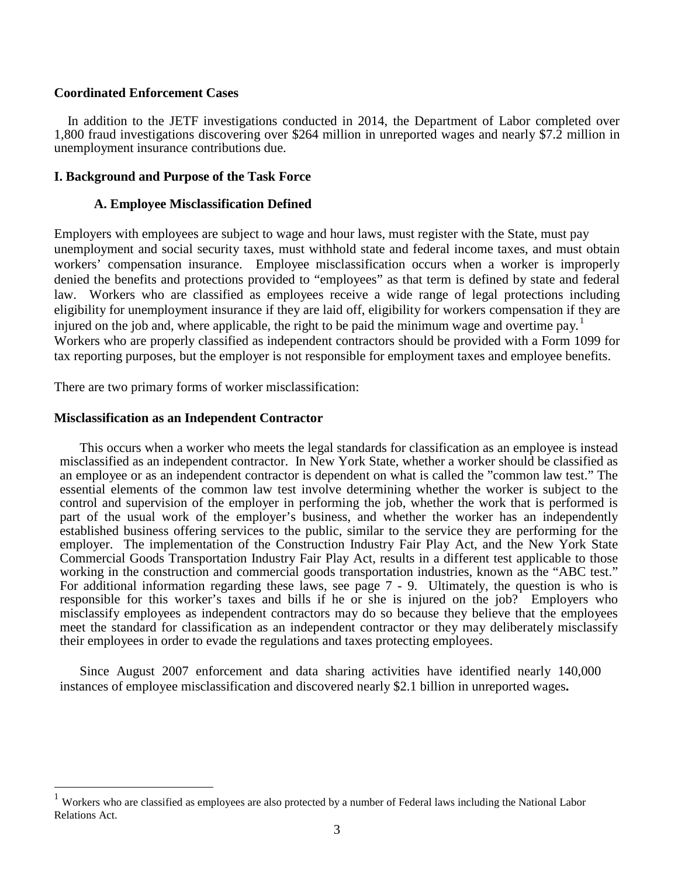### **Coordinated Enforcement Cases**

 In addition to the JETF investigations conducted in 2014, the Department of Labor completed over 1,800 fraud investigations discovering over \$264 million in unreported wages and nearly \$7.2 million in unemployment insurance contributions due.

## **I. Background and Purpose of the Task Force**

#### **A. Employee Misclassification Defined**

Employers with employees are subject to wage and hour laws, must register with the State, must pay unemployment and social security taxes, must withhold state and federal income taxes, and must obtain workers' compensation insurance. Employee misclassification occurs when a worker is improperly denied the benefits and protections provided to "employees" as that term is defined by state and federal law. Workers who are classified as employees receive a wide range of legal protections including eligibility for unemployment insurance if they are laid off, eligibility for workers compensation if they are injured on the job and, where applicable, the right to be paid the minimum wage and overtime pay.<sup>1</sup> Workers who are properly classified as independent contractors should be provided with a Form 1099 for tax reporting purposes, but the employer is not responsible for employment taxes and employee benefits.

There are two primary forms of worker misclassification:

#### **Misclassification as an Independent Contractor**

This occurs when a worker who meets the legal standards for classification as an employee is instead misclassified as an independent contractor. In New York State, whether a worker should be classified as an employee or as an independent contractor is dependent on what is called the "common law test." The essential elements of the common law test involve determining whether the worker is subject to the control and supervision of the employer in performing the job, whether the work that is performed is part of the usual work of the employer's business, and whether the worker has an independently established business offering services to the public, similar to the service they are performing for the employer. The implementation of the Construction Industry Fair Play Act, and the New York State Commercial Goods Transportation Industry Fair Play Act, results in a different test applicable to those working in the construction and commercial goods transportation industries, known as the "ABC test." For additional information regarding these laws, see page 7 - 9. Ultimately, the question is who is responsible for this worker's taxes and bills if he or she is injured on the job? Employers who misclassify employees as independent contractors may do so because they believe that the employees meet the standard for classification as an independent contractor or they may deliberately misclassify their employees in order to evade the regulations and taxes protecting employees.

Since August 2007 enforcement and data sharing activities have identified nearly 140,000 instances of employee misclassification and discovered nearly \$2.1 billion in unreported wages**.**

<span id="page-2-0"></span> <sup>1</sup> Workers who are classified as employees are also protected by a number of Federal laws including the National Labor Relations Act.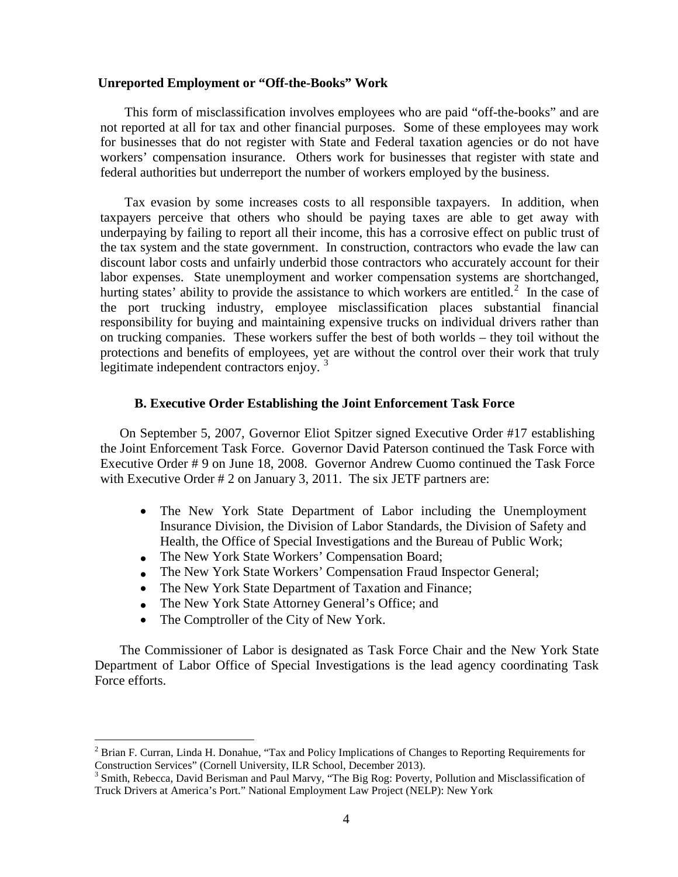#### **Unreported Employment or "Off-the-Books" Work**

This form of misclassification involves employees who are paid "off-the-books" and are not reported at all for tax and other financial purposes. Some of these employees may work for businesses that do not register with State and Federal taxation agencies or do not have workers' compensation insurance. Others work for businesses that register with state and federal authorities but underreport the number of workers employed by the business.

Tax evasion by some increases costs to all responsible taxpayers. In addition, when taxpayers perceive that others who should be paying taxes are able to get away with underpaying by failing to report all their income, this has a corrosive effect on public trust of the tax system and the state government. In construction, contractors who evade the law can discount labor costs and unfairly underbid those contractors who accurately account for their labor expenses. State unemployment and worker compensation systems are shortchanged, hurting states' ability to provide the assistance to which workers are entitled.<sup>[2](#page-2-0)</sup> In the case of the port trucking industry, employee misclassification places substantial financial responsibility for buying and maintaining expensive trucks on individual drivers rather than on trucking companies. These workers suffer the best of both worlds – they toil without the protections and benefits of employees, yet are without the control over their work that truly legitimate independent contractors enjoy.<sup>[3](#page-3-0)</sup>

#### **B. Executive Order Establishing the Joint Enforcement Task Force**

On September 5, 2007, Governor Eliot Spitzer signed Executive Order #17 establishing the Joint Enforcement Task Force. Governor David Paterson continued the Task Force with Executive Order # 9 on June 18, 2008. Governor Andrew Cuomo continued the Task Force with Executive Order # 2 on January 3, 2011. The six JETF partners are:

- The New York State Department of Labor including the Unemployment Insurance Division, the Division of Labor Standards, the Division of Safety and Health, the Office of Special Investigations and the Bureau of Public Work;
- The New York State Workers' Compensation Board;
- The New York State Workers' Compensation Fraud Inspector General;
- The New York State Department of Taxation and Finance;
- The New York State Attorney General's Office; and
- The Comptroller of the City of New York.

The Commissioner of Labor is designated as Task Force Chair and the New York State Department of Labor Office of Special Investigations is the lead agency coordinating Task Force efforts.

 $2$  Brian F. Curran, Linda H. Donahue, "Tax and Policy Implications of Changes to Reporting Requirements for Construction Services" (Cornell University, ILR School, December 2013).

<span id="page-3-1"></span><span id="page-3-0"></span><sup>&</sup>lt;sup>3</sup> Smith, Rebecca, David Berisman and Paul Marvy, "The Big Rog: Poverty, Pollution and Misclassification of Truck Drivers at America's Port." National Employment Law Project (NELP): New York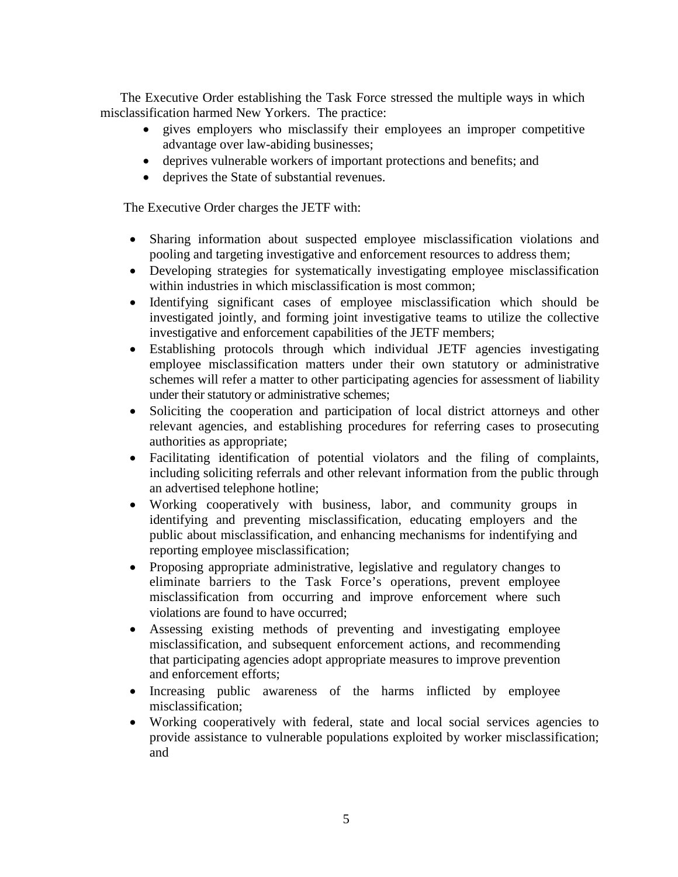The Executive Order establishing the Task Force stressed the multiple ways in which misclassification harmed New Yorkers. The practice:

- gives employers who misclassify their employees an improper competitive advantage over law-abiding businesses;
- deprives vulnerable workers of important protections and benefits; and
- deprives the State of substantial revenues.

The Executive Order charges the JETF with:

- Sharing information about suspected employee misclassification violations and pooling and targeting investigative and enforcement resources to address them;
- Developing strategies for systematically investigating employee misclassification within industries in which misclassification is most common;
- Identifying significant cases of employee misclassification which should be investigated jointly, and forming joint investigative teams to utilize the collective investigative and enforcement capabilities of the JETF members;
- Establishing protocols through which individual JETF agencies investigating employee misclassification matters under their own statutory or administrative schemes will refer a matter to other participating agencies for assessment of liability under their statutory or administrative schemes;
- Soliciting the cooperation and participation of local district attorneys and other relevant agencies, and establishing procedures for referring cases to prosecuting authorities as appropriate;
- Facilitating identification of potential violators and the filing of complaints, including soliciting referrals and other relevant information from the public through an advertised telephone hotline;
- Working cooperatively with business, labor, and community groups in identifying and preventing misclassification, educating employers and the public about misclassification, and enhancing mechanisms for indentifying and reporting employee misclassification;
- Proposing appropriate administrative, legislative and regulatory changes to eliminate barriers to the Task Force's operations, prevent employee misclassification from occurring and improve enforcement where such violations are found to have occurred;
- Assessing existing methods of preventing and investigating employee misclassification, and subsequent enforcement actions, and recommending that participating agencies adopt appropriate measures to improve prevention and enforcement efforts;
- Increasing public awareness of the harms inflicted by employee misclassification;
- Working cooperatively with federal, state and local social services agencies to provide assistance to vulnerable populations exploited by worker misclassification; and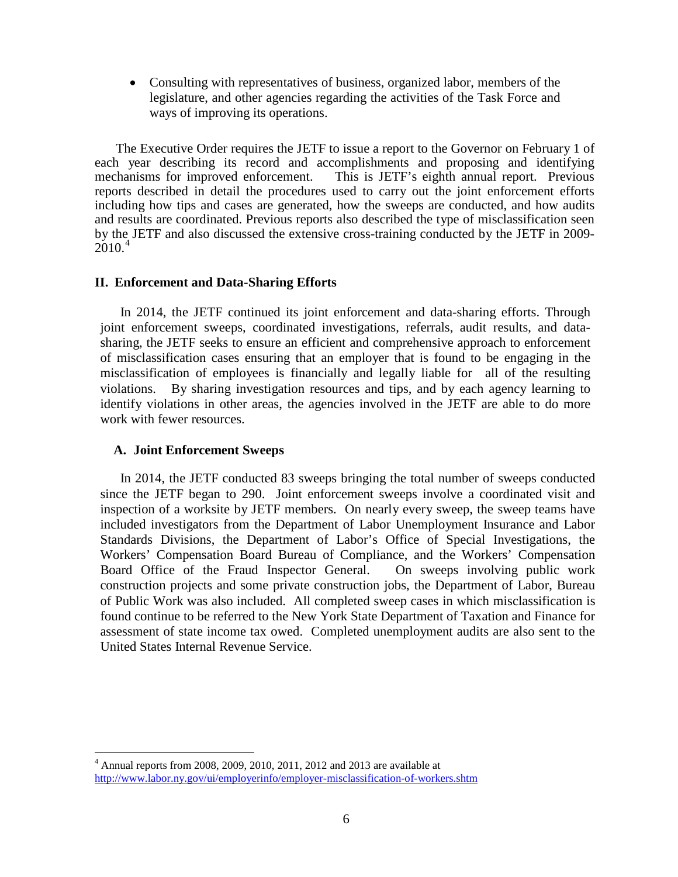• Consulting with representatives of business, organized labor, members of the legislature, and other agencies regarding the activities of the Task Force and ways of improving its operations.

 The Executive Order requires the JETF to issue a report to the Governor on February 1 of each year describing its record and accomplishments and proposing and identifying mechanisms for improved enforcement. This is JETF's eighth annual report. Previous This is JETF's eighth annual report. Previous reports described in detail the procedures used to carry out the joint enforcement efforts including how tips and cases are generated, how the sweeps are conducted, and how audits and results are coordinated. Previous reports also described the type of misclassification seen by the JETF and also discussed the extensive cross-training conducted by the JETF in 2009-  $2010.<sup>4</sup>$  $2010.<sup>4</sup>$  $2010.<sup>4</sup>$ 

#### **II. Enforcement and Data-Sharing Efforts**

In 2014, the JETF continued its joint enforcement and data-sharing efforts. Through joint enforcement sweeps, coordinated investigations, referrals, audit results, and datasharing, the JETF seeks to ensure an efficient and comprehensive approach to enforcement of misclassification cases ensuring that an employer that is found to be engaging in the misclassification of employees is financially and legally liable for all of the resulting violations. By sharing investigation resources and tips, and by each agency learning to identify violations in other areas, the agencies involved in the JETF are able to do more work with fewer resources.

### **A. Joint Enforcement Sweeps**

In 2014, the JETF conducted 83 sweeps bringing the total number of sweeps conducted since the JETF began to 290. Joint enforcement sweeps involve a coordinated visit and inspection of a worksite by JETF members. On nearly every sweep, the sweep teams have included investigators from the Department of Labor Unemployment Insurance and Labor Standards Divisions, the Department of Labor's Office of Special Investigations, the Workers' Compensation Board Bureau of Compliance, and the Workers' Compensation Board Office of the Fraud Inspector General. On sweeps involving public work construction projects and some private construction jobs, the Department of Labor, Bureau of Public Work was also included. All completed sweep cases in which misclassification is found continue to be referred to the New York State Department of Taxation and Finance for assessment of state income tax owed. Completed unemployment audits are also sent to the United States Internal Revenue Service.

<span id="page-5-0"></span> $4$  Annual reports from 2008, 2009, 2010, 2011, 2012 and 2013 are available at <http://www.labor.ny.gov/ui/employerinfo/employer-misclassification-of-workers.shtm>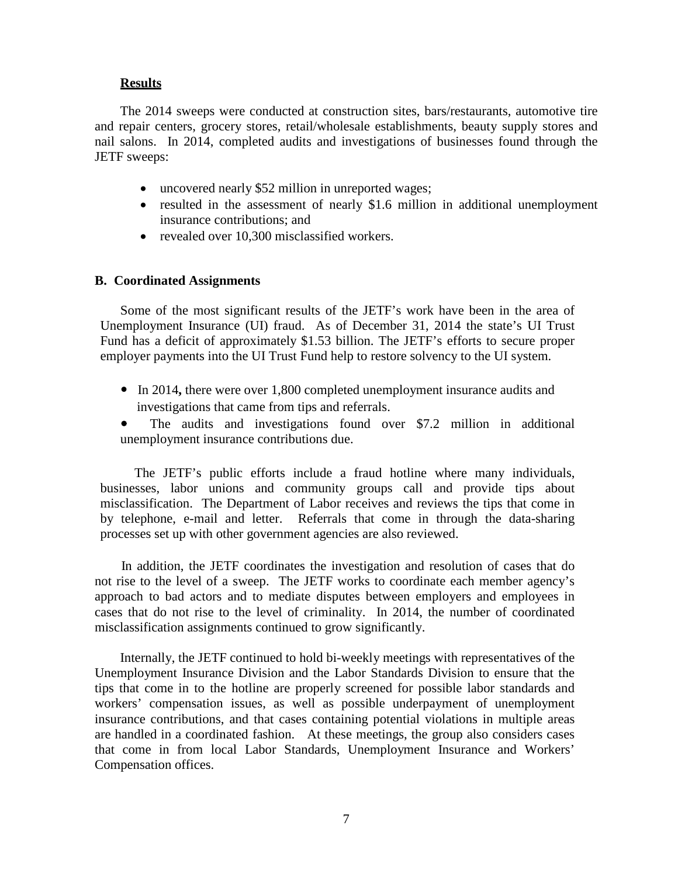## **Results**

The 2014 sweeps were conducted at construction sites, bars/restaurants, automotive tire and repair centers, grocery stores, retail/wholesale establishments, beauty supply stores and nail salons. In 2014, completed audits and investigations of businesses found through the JETF sweeps:

- uncovered nearly \$52 million in unreported wages;
- resulted in the assessment of nearly \$1.6 million in additional unemployment insurance contributions; and
- revealed over 10,300 misclassified workers.

### **B. Coordinated Assignments**

Some of the most significant results of the JETF's work have been in the area of Unemployment Insurance (UI) fraud. As of December 31, 2014 the state's UI Trust Fund has a deficit of approximately \$1.53 billion. The JETF's efforts to secure proper employer payments into the UI Trust Fund help to restore solvency to the UI system.

- In 2014, there were over 1,800 completed unemployment insurance audits and investigations that came from tips and referrals.
- The audits and investigations found over \$7.2 million in additional unemployment insurance contributions due.

The JETF's public efforts include a fraud hotline where many individuals, businesses, labor unions and community groups call and provide tips about misclassification. The Department of Labor receives and reviews the tips that come in by telephone, e-mail and letter. Referrals that come in through the data-sharing processes set up with other government agencies are also reviewed.

 In addition, the JETF coordinates the investigation and resolution of cases that do not rise to the level of a sweep. The JETF works to coordinate each member agency's approach to bad actors and to mediate disputes between employers and employees in cases that do not rise to the level of criminality. In 2014, the number of coordinated misclassification assignments continued to grow significantly.

Internally, the JETF continued to hold bi-weekly meetings with representatives of the Unemployment Insurance Division and the Labor Standards Division to ensure that the tips that come in to the hotline are properly screened for possible labor standards and workers' compensation issues, as well as possible underpayment of unemployment insurance contributions, and that cases containing potential violations in multiple areas are handled in a coordinated fashion. At these meetings, the group also considers cases that come in from local Labor Standards, Unemployment Insurance and Workers' Compensation offices.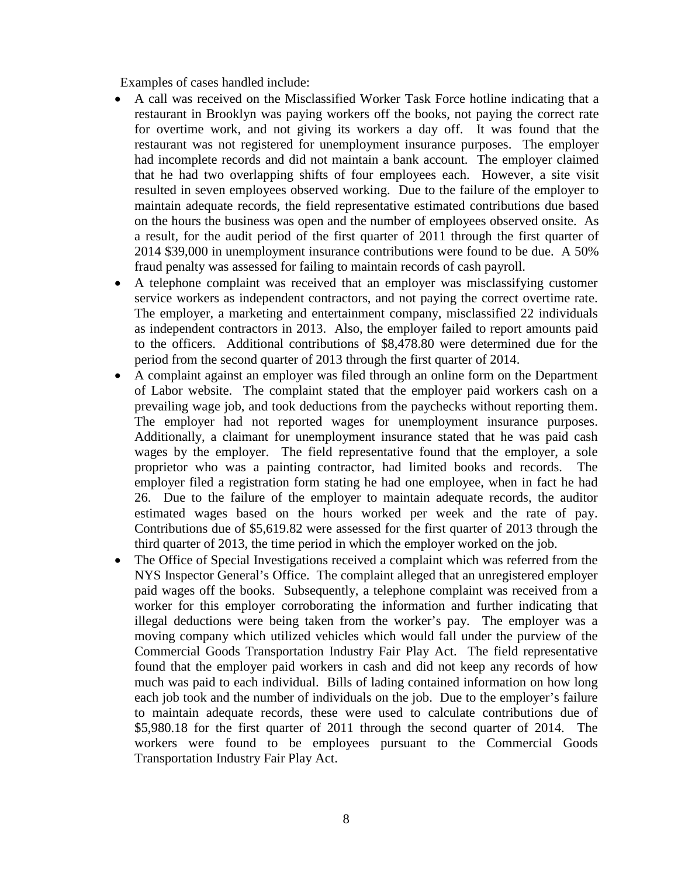Examples of cases handled include:

- A call was received on the Misclassified Worker Task Force hotline indicating that a restaurant in Brooklyn was paying workers off the books, not paying the correct rate for overtime work, and not giving its workers a day off. It was found that the restaurant was not registered for unemployment insurance purposes. The employer had incomplete records and did not maintain a bank account. The employer claimed that he had two overlapping shifts of four employees each. However, a site visit resulted in seven employees observed working. Due to the failure of the employer to maintain adequate records, the field representative estimated contributions due based on the hours the business was open and the number of employees observed onsite. As a result, for the audit period of the first quarter of 2011 through the first quarter of 2014 \$39,000 in unemployment insurance contributions were found to be due. A 50% fraud penalty was assessed for failing to maintain records of cash payroll.
- A telephone complaint was received that an employer was misclassifying customer service workers as independent contractors, and not paying the correct overtime rate. The employer, a marketing and entertainment company, misclassified 22 individuals as independent contractors in 2013. Also, the employer failed to report amounts paid to the officers. Additional contributions of \$8,478.80 were determined due for the period from the second quarter of 2013 through the first quarter of 2014.
- A complaint against an employer was filed through an online form on the Department of Labor website. The complaint stated that the employer paid workers cash on a prevailing wage job, and took deductions from the paychecks without reporting them. The employer had not reported wages for unemployment insurance purposes. Additionally, a claimant for unemployment insurance stated that he was paid cash wages by the employer. The field representative found that the employer, a sole proprietor who was a painting contractor, had limited books and records. The employer filed a registration form stating he had one employee, when in fact he had 26. Due to the failure of the employer to maintain adequate records, the auditor estimated wages based on the hours worked per week and the rate of pay. Contributions due of \$5,619.82 were assessed for the first quarter of 2013 through the third quarter of 2013, the time period in which the employer worked on the job.
- The Office of Special Investigations received a complaint which was referred from the NYS Inspector General's Office. The complaint alleged that an unregistered employer paid wages off the books. Subsequently, a telephone complaint was received from a worker for this employer corroborating the information and further indicating that illegal deductions were being taken from the worker's pay. The employer was a moving company which utilized vehicles which would fall under the purview of the Commercial Goods Transportation Industry Fair Play Act. The field representative found that the employer paid workers in cash and did not keep any records of how much was paid to each individual. Bills of lading contained information on how long each job took and the number of individuals on the job. Due to the employer's failure to maintain adequate records, these were used to calculate contributions due of \$5,980.18 for the first quarter of 2011 through the second quarter of 2014. The workers were found to be employees pursuant to the Commercial Goods Transportation Industry Fair Play Act.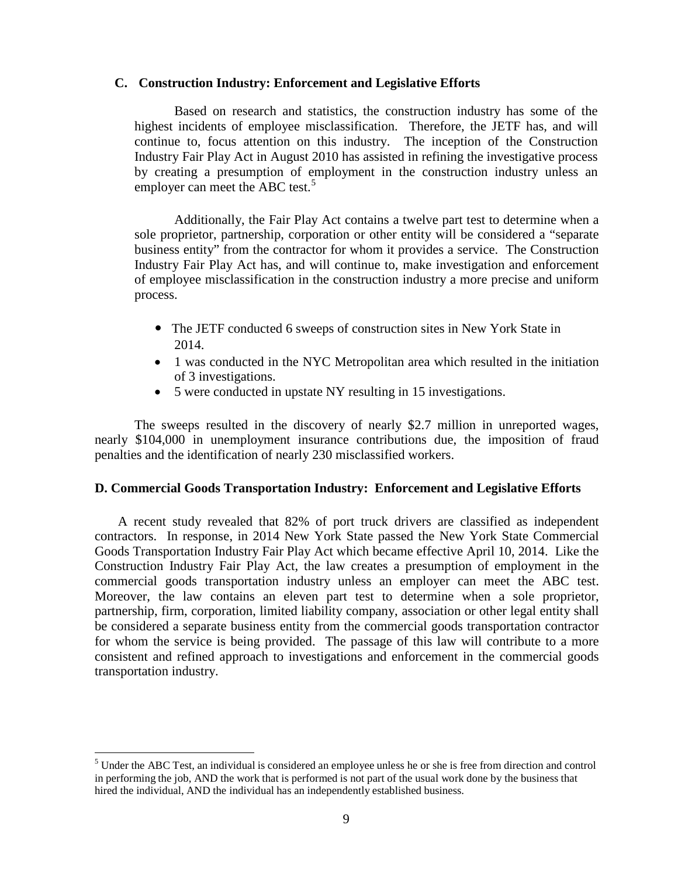#### **C. Construction Industry: Enforcement and Legislative Efforts**

Based on research and statistics, the construction industry has some of the highest incidents of employee misclassification. Therefore, the JETF has, and will continue to, focus attention on this industry. The inception of the Construction Industry Fair Play Act in August 2010 has assisted in refining the investigative process by creating a presumption of employment in the construction industry unless an employer can meet the ABC test.<sup>[5](#page-5-0)</sup>

Additionally, the Fair Play Act contains a twelve part test to determine when a sole proprietor, partnership, corporation or other entity will be considered a "separate business entity" from the contractor for whom it provides a service. The Construction Industry Fair Play Act has, and will continue to, make investigation and enforcement of employee misclassification in the construction industry a more precise and uniform process.

- The JETF conducted 6 sweeps of construction sites in New York State in 2014.
- 1 was conducted in the NYC Metropolitan area which resulted in the initiation of 3 investigations.
- 5 were conducted in upstate NY resulting in 15 investigations.

The sweeps resulted in the discovery of nearly \$2.7 million in unreported wages, nearly \$104,000 in unemployment insurance contributions due, the imposition of fraud penalties and the identification of nearly 230 misclassified workers.

### **D. Commercial Goods Transportation Industry: Enforcement and Legislative Efforts**

A recent study revealed that 82% of port truck drivers are classified as independent contractors. In response, in 2014 New York State passed the New York State Commercial Goods Transportation Industry Fair Play Act which became effective April 10, 2014. Like the Construction Industry Fair Play Act, the law creates a presumption of employment in the commercial goods transportation industry unless an employer can meet the ABC test. Moreover, the law contains an eleven part test to determine when a sole proprietor, partnership, firm, corporation, limited liability company, association or other legal entity shall be considered a separate business entity from the commercial goods transportation contractor for whom the service is being provided. The passage of this law will contribute to a more consistent and refined approach to investigations and enforcement in the commercial goods transportation industry.

<span id="page-8-0"></span> <sup>5</sup> Under the ABC Test, an individual is considered an employee unless he or she is free from direction and control in performing the job, AND the work that is performed is not part of the usual work done by the business that hired the individual, AND the individual has an independently established business.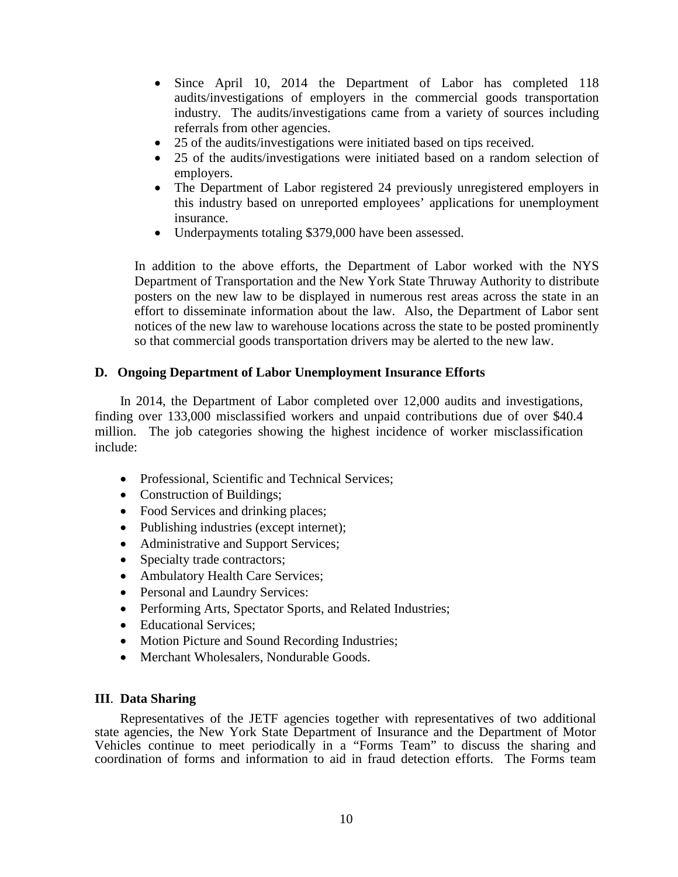- Since April 10, 2014 the Department of Labor has completed 118 audits/investigations of employers in the commercial goods transportation industry. The audits/investigations came from a variety of sources including referrals from other agencies.
- 25 of the audits/investigations were initiated based on tips received.
- 25 of the audits/investigations were initiated based on a random selection of employers.
- The Department of Labor registered 24 previously unregistered employers in this industry based on unreported employees' applications for unemployment insurance.
- Underpayments totaling \$379,000 have been assessed.

In addition to the above efforts, the Department of Labor worked with the NYS Department of Transportation and the New York State Thruway Authority to distribute posters on the new law to be displayed in numerous rest areas across the state in an effort to disseminate information about the law. Also, the Department of Labor sent notices of the new law to warehouse locations across the state to be posted prominently so that commercial goods transportation drivers may be alerted to the new law.

## **D. Ongoing Department of Labor Unemployment Insurance Efforts**

In 2014, the Department of Labor completed over 12,000 audits and investigations, finding over 133,000 misclassified workers and unpaid contributions due of over \$40.4 million. The job categories showing the highest incidence of worker misclassification include:

- Professional, Scientific and Technical Services;
- Construction of Buildings;
- Food Services and drinking places;
- Publishing industries (except internet);
- Administrative and Support Services;
- Specialty trade contractors;
- Ambulatory Health Care Services;
- Personal and Laundry Services:
- Performing Arts, Spectator Sports, and Related Industries;
- Educational Services;
- Motion Picture and Sound Recording Industries;
- Merchant Wholesalers, Nondurable Goods.

## **III**. **Data Sharing**

Representatives of the JETF agencies together with representatives of two additional state agencies, the New York State Department of Insurance and the Department of Motor Vehicles continue to meet periodically in a "Forms Team" to discuss the sharing and coordination of forms and information to aid in fraud detection efforts. The Forms team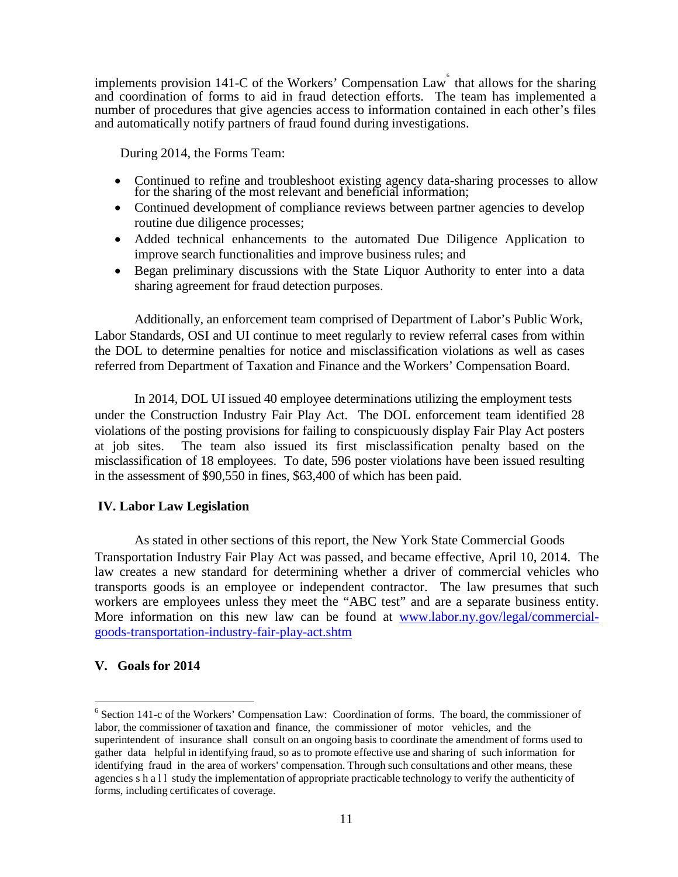implements provision 141-C of the Workers' Compensation Law  $\acute{\text{o}}$  that allows for the sharing and coordination of forms to aid in fraud detection efforts. The team has implemented a number of procedures that give agencies access to information contained in each other's files and automatically notify partners of fraud found during investigations.

During 2014, the Forms Team:

- Continued to refine and troubleshoot existing agency data-sharing processes to allow for the sharing of the most relevant and beneficial information;
- Continued development of compliance reviews between partner agencies to develop routine due diligence processes;
- Added technical enhancements to the automated Due Diligence Application to improve search functionalities and improve business rules; and
- Began preliminary discussions with the State Liquor Authority to enter into a data sharing agreement for fraud detection purposes.

Additionally, an enforcement team comprised of Department of Labor's Public Work, Labor Standards, OSI and UI continue to meet regularly to review referral cases from within the DOL to determine penalties for notice and misclassification violations as well as cases referred from Department of Taxation and Finance and the Workers' Compensation Board.

In 2014, DOL UI issued 40 employee determinations utilizing the employment tests under the Construction Industry Fair Play Act. The DOL enforcement team identified 28 violations of the posting provisions for failing to conspicuously display Fair Play Act posters at job sites. The team also issued its first misclassification penalty based on the misclassification of 18 employees. To date, 596 poster violations have been issued resulting in the assessment of \$90,550 in fines, \$63,400 of which has been paid.

### **IV. Labor Law Legislation**

As stated in other sections of this report, the New York State Commercial Goods Transportation Industry Fair Play Act was passed, and became effective, April 10, 2014. The law creates a new standard for determining whether a driver of commercial vehicles who transports goods is an employee or independent contractor. The law presumes that such workers are employees unless they meet the "ABC test" and are a separate business entity. More information on this new law can be found at [www.labor.ny.gov/legal/commercial](http://www.labor.ny.gov/legal/commercial-goods-transportation-industry-fair-play-act.shtm)[goods-transportation-industry-fair-play-act.shtm](http://www.labor.ny.gov/legal/commercial-goods-transportation-industry-fair-play-act.shtm)

### **V. Goals for 2014**

 <sup>6</sup> Section 141-c of the Workers' Compensation Law: Coordination of forms. The board, the commissioner of labor, the commissioner of taxation and finance, the commissioner of motor vehicles, and the superintendent of insurance shall consult on an ongoing basis to coordinate the amendment of forms used to gather data helpful in identifying fraud, so as to promote effective use and sharing of such information for identifying fraud in the area of workers' compensation. Through such consultations and other means, these agencies shall study the implementation of appropriate practicable technology to verify the authenticity of forms, including certificates of coverage.